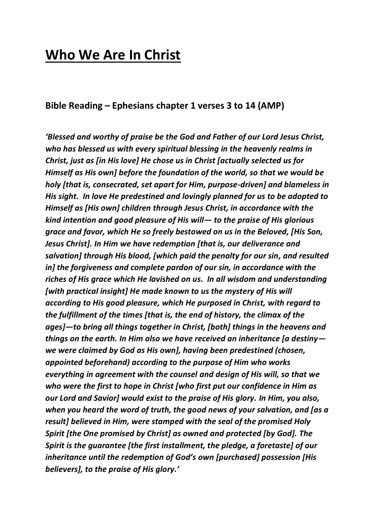# **Who We Are In Christ**

#### **Bible Reading – Ephesians chapter 1 verses 3 to 14 (AMP)**

*'Blessed and worthy of praise be the God and Father of our Lord Jesus Christ, who has blessed us with every spiritual blessing in the heavenly realms in Christ, just as [in His love] He chose us in Christ [actually selected us for Himself as His own] before the foundation of the world, so that we would be holy [that is, consecrated, set apart for Him, purpose-driven] and blameless in His sight. In love He predestined and lovingly planned for us to be adopted to Himself as [His own] children through Jesus Christ, in accordance with the kind intention and good pleasure of His will— to the praise of His glorious grace and favor, which He so freely bestowed on us in the Beloved, [His Son, Jesus Christ]. In Him we have redemption [that is, our deliverance and salvation] through His blood, [which paid the penalty for our sin, and resulted in] the forgiveness and complete pardon of our sin, in accordance with the riches of His grace which He lavished on us. In all wisdom and understanding [with practical insight] He made known to us the mystery of His will according to His good pleasure, which He purposed in Christ, with regard to the fulfillment of the times [that is, the end of history, the climax of the ages]—to bring all things together in Christ, [both] things in the heavens and things on the earth. In Him also we have received an inheritance [a destiny we were claimed by God as His own], having been predestined (chosen, appointed beforehand) according to the purpose of Him who works everything in agreement with the counsel and design of His will, so that we who were the first to hope in Christ [who first put our confidence in Him as our Lord and Savior] would exist to the praise of His glory. In Him, you also, when you heard the word of truth, the good news of your salvation, and [as a result] believed in Him, were stamped with the seal of the promised Holy Spirit [the One promised by Christ] as owned and protected [by God]. The Spirit is the guarantee [the first installment, the pledge, a foretaste] of our inheritance until the redemption of God's own [purchased] possession [His believers], to the praise of His glory.'*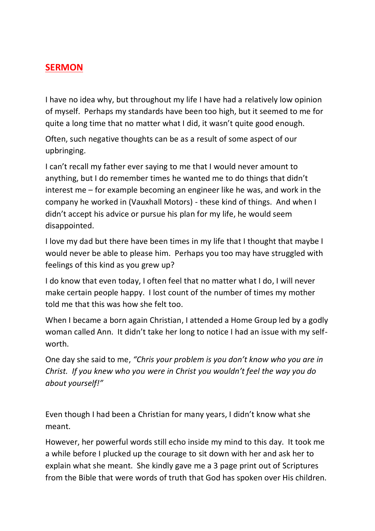#### **SERMON**

I have no idea why, but throughout my life I have had a relatively low opinion of myself. Perhaps my standards have been too high, but it seemed to me for quite a long time that no matter what I did, it wasn't quite good enough.

Often, such negative thoughts can be as a result of some aspect of our upbringing.

I can't recall my father ever saying to me that I would never amount to anything, but I do remember times he wanted me to do things that didn't interest me – for example becoming an engineer like he was, and work in the company he worked in (Vauxhall Motors) - these kind of things. And when I didn't accept his advice or pursue his plan for my life, he would seem disappointed.

I love my dad but there have been times in my life that I thought that maybe I would never be able to please him. Perhaps you too may have struggled with feelings of this kind as you grew up?

I do know that even today, I often feel that no matter what I do, I will never make certain people happy. I lost count of the number of times my mother told me that this was how she felt too.

When I became a born again Christian, I attended a Home Group led by a godly woman called Ann. It didn't take her long to notice I had an issue with my selfworth.

One day she said to me, *"Chris your problem is you don't know who you are in Christ. If you knew who you were in Christ you wouldn't feel the way you do about yourself!"*

Even though I had been a Christian for many years, I didn't know what she meant.

However, her powerful words still echo inside my mind to this day. It took me a while before I plucked up the courage to sit down with her and ask her to explain what she meant. She kindly gave me a 3 page print out of Scriptures from the Bible that were words of truth that God has spoken over His children.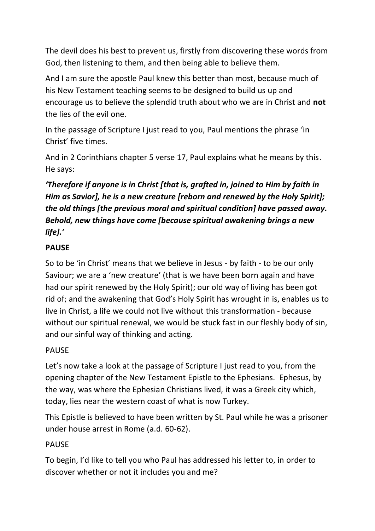The devil does his best to prevent us, firstly from discovering these words from God, then listening to them, and then being able to believe them.

And I am sure the apostle Paul knew this better than most, because much of his New Testament teaching seems to be designed to build us up and encourage us to believe the splendid truth about who we are in Christ and **not** the lies of the evil one.

In the passage of Scripture I just read to you, Paul mentions the phrase 'in Christ' five times.

And in 2 Corinthians chapter 5 verse 17, Paul explains what he means by this. He says:

# *'Therefore if anyone is in Christ [that is, grafted in, joined to Him by faith in Him as Savior], he is a new creature [reborn and renewed by the Holy Spirit]; the old things [the previous moral and spiritual condition] have passed away. Behold, new things have come [because spiritual awakening brings a new life].'*

#### **PAUSE**

So to be 'in Christ' means that we believe in Jesus - by faith - to be our only Saviour; we are a 'new creature' (that is we have been born again and have had our spirit renewed by the Holy Spirit); our old way of living has been got rid of; and the awakening that God's Holy Spirit has wrought in is, enables us to live in Christ, a life we could not live without this transformation - because without our spiritual renewal, we would be stuck fast in our fleshly body of sin, and our sinful way of thinking and acting.

## PAUSE

Let's now take a look at the passage of Scripture I just read to you, from the opening chapter of the New Testament Epistle to the Ephesians. Ephesus, by the way, was where the Ephesian Christians lived, it was a Greek city which, today, lies near the western coast of what is now Turkey.

This Epistle is believed to have been written by St. Paul while he was a prisoner under house arrest in Rome (a.d. 60-62).

#### PAUSE

To begin, I'd like to tell you who Paul has addressed his letter to, in order to discover whether or not it includes you and me?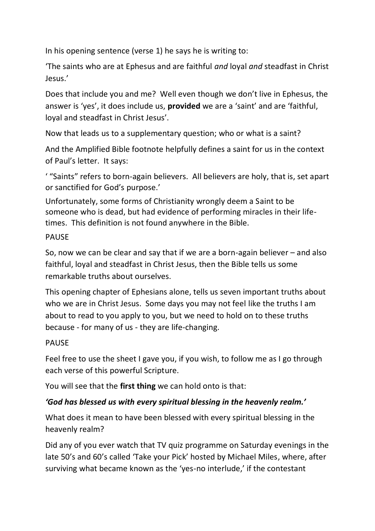In his opening sentence (verse 1) he says he is writing to:

'The saints who are at Ephesus and are faithful *and* loyal *and* steadfast in Christ Jesus.'

Does that include you and me? Well even though we don't live in Ephesus, the answer is 'yes', it does include us, **provided** we are a 'saint' and are 'faithful, loyal and steadfast in Christ Jesus'.

Now that leads us to a supplementary question; who or what is a saint?

And the Amplified Bible footnote helpfully defines a saint for us in the context of Paul's letter. It says:

' "Saints" refers to born-again believers. All believers are holy, that is, set apart or sanctified for God's purpose.'

Unfortunately, some forms of Christianity wrongly deem a Saint to be someone who is dead, but had evidence of performing miracles in their lifetimes. This definition is not found anywhere in the Bible.

#### PAUSE

So, now we can be clear and say that if we are a born-again believer – and also faithful, loyal and steadfast in Christ Jesus, then the Bible tells us some remarkable truths about ourselves.

This opening chapter of Ephesians alone, tells us seven important truths about who we are in Christ Jesus. Some days you may not feel like the truths I am about to read to you apply to you, but we need to hold on to these truths because - for many of us - they are life-changing.

#### PAUSE

Feel free to use the sheet I gave you, if you wish, to follow me as I go through each verse of this powerful Scripture.

You will see that the **first thing** we can hold onto is that:

#### *'God has blessed us with every spiritual blessing in the heavenly realm.'*

What does it mean to have been blessed with every spiritual blessing in the heavenly realm?

Did any of you ever watch that TV quiz programme on Saturday evenings in the late 50's and 60's called 'Take your Pick' hosted by Michael Miles, where, after surviving what became known as the 'yes-no interlude,' if the contestant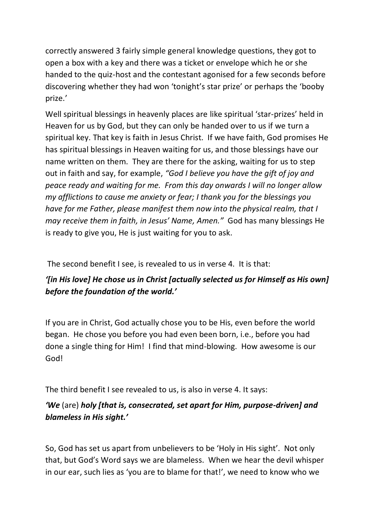correctly answered 3 fairly simple general knowledge questions, they got to open a box with a key and there was a ticket or envelope which he or she handed to the quiz-host and the contestant agonised for a few seconds before discovering whether they had won 'tonight's star prize' or perhaps the 'booby prize.'

Well spiritual blessings in heavenly places are like spiritual 'star-prizes' held in Heaven for us by God, but they can only be handed over to us if we turn a spiritual key. That key is faith in Jesus Christ. If we have faith, God promises He has spiritual blessings in Heaven waiting for us, and those blessings have our name written on them. They are there for the asking, waiting for us to step out in faith and say, for example, *"God I believe you have the gift of joy and peace ready and waiting for me. From this day onwards I will no longer allow my afflictions to cause me anxiety or fear; I thank you for the blessings you have for me Father, please manifest them now into the physical realm, that I may receive them in faith, in Jesus' Name, Amen."* God has many blessings He is ready to give you, He is just waiting for you to ask.

The second benefit I see, is revealed to us in verse 4. It is that:

## *'[in His love] He chose us in Christ [actually selected us for Himself as His own] before the foundation of the world.'*

If you are in Christ, God actually chose you to be His, even before the world began. He chose you before you had even been born, i.e., before you had done a single thing for Him! I find that mind-blowing. How awesome is our God!

The third benefit I see revealed to us, is also in verse 4. It says:

## *'We* (are) *holy [that is, consecrated, set apart for Him, purpose-driven] and blameless in His sight.'*

So, God has set us apart from unbelievers to be 'Holy in His sight'. Not only that, but God's Word says we are blameless. When we hear the devil whisper in our ear, such lies as 'you are to blame for that!', we need to know who we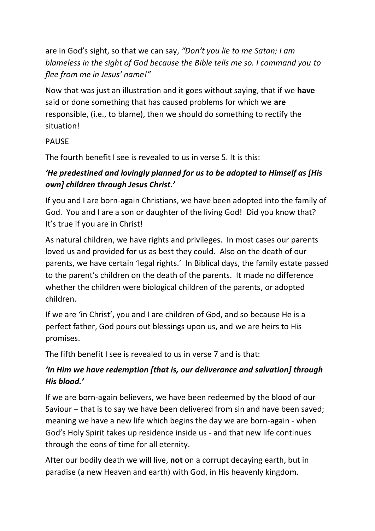are in God's sight, so that we can say, *"Don't you lie to me Satan; I am blameless in the sight of God because the Bible tells me so. I command you to flee from me in Jesus' name!"*

Now that was just an illustration and it goes without saying, that if we **have** said or done something that has caused problems for which we **are** responsible, (i.e., to blame), then we should do something to rectify the situation!

#### PAUSE

The fourth benefit I see is revealed to us in verse 5. It is this:

## *'He predestined and lovingly planned for us to be adopted to Himself as [His own] children through Jesus Christ.'*

If you and I are born-again Christians, we have been adopted into the family of God. You and I are a son or daughter of the living God! Did you know that? It's true if you are in Christ!

As natural children, we have rights and privileges. In most cases our parents loved us and provided for us as best they could. Also on the death of our parents, we have certain 'legal rights.' In Biblical days, the family estate passed to the parent's children on the death of the parents. It made no difference whether the children were biological children of the parents, or adopted children.

If we are 'in Christ', you and I are children of God, and so because He is a perfect father, God pours out blessings upon us, and we are heirs to His promises.

The fifth benefit I see is revealed to us in verse 7 and is that:

## *'In Him we have redemption [that is, our deliverance and salvation] through His blood.'*

If we are born-again believers, we have been redeemed by the blood of our Saviour – that is to say we have been delivered from sin and have been saved; meaning we have a new life which begins the day we are born-again - when God's Holy Spirit takes up residence inside us - and that new life continues through the eons of time for all eternity.

After our bodily death we will live, **not** on a corrupt decaying earth, but in paradise (a new Heaven and earth) with God, in His heavenly kingdom.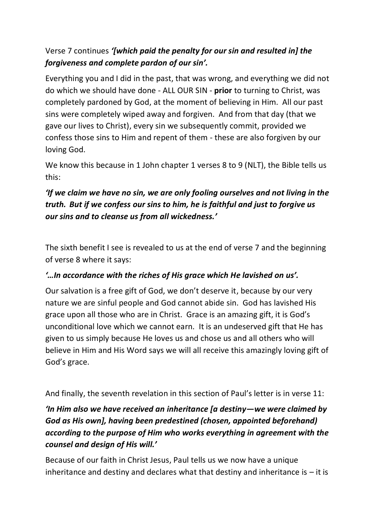## Verse 7 continues *'[which paid the penalty for our sin and resulted in] the forgiveness and complete pardon of our sin'.*

Everything you and I did in the past, that was wrong, and everything we did not do which we should have done - ALL OUR SIN - **prior** to turning to Christ, was completely pardoned by God, at the moment of believing in Him. All our past sins were completely wiped away and forgiven. And from that day (that we gave our lives to Christ), every sin we subsequently commit, provided we confess those sins to Him and repent of them - these are also forgiven by our loving God.

We know this because in 1 John chapter 1 verses 8 to 9 (NLT), the Bible tells us this:

## *'If we claim we have no sin, we are only fooling ourselves and not living in the truth. But if we confess our sins to him, he is faithful and just to forgive us our sins and to cleanse us from all wickedness.'*

The sixth benefit I see is revealed to us at the end of verse 7 and the beginning of verse 8 where it says:

## *'…In accordance with the riches of His grace which He lavished on us'.*

Our salvation is a free gift of God, we don't deserve it, because by our very nature we are sinful people and God cannot abide sin. God has lavished His grace upon all those who are in Christ. Grace is an amazing gift, it is God's unconditional love which we cannot earn. It is an undeserved gift that He has given to us simply because He loves us and chose us and all others who will believe in Him and His Word says we will all receive this amazingly loving gift of God's grace.

And finally, the seventh revelation in this section of Paul's letter is in verse 11:

# *'In Him also we have received an inheritance [a destiny—we were claimed by God as His own], having been predestined (chosen, appointed beforehand) according to the purpose of Him who works everything in agreement with the counsel and design of His will.'*

Because of our faith in Christ Jesus, Paul tells us we now have a unique inheritance and destiny and declares what that destiny and inheritance is  $-$  it is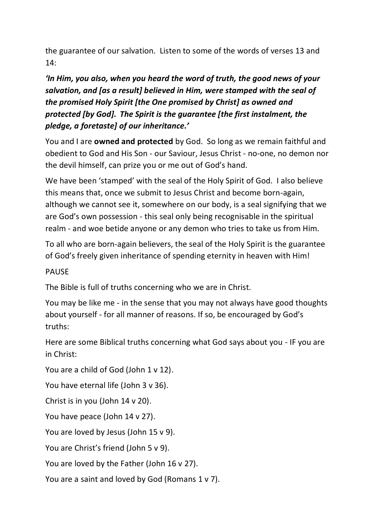the guarantee of our salvation. Listen to some of the words of verses 13 and 14:

## *'In Him, you also, when you heard the word of truth, the good news of your salvation, and [as a result] believed in Him, were stamped with the seal of the promised Holy Spirit [the One promised by Christ] as owned and protected [by God]. The Spirit is the guarantee [the first instalment, the pledge, a foretaste] of our inheritance.'*

You and I are **owned and protected** by God. So long as we remain faithful and obedient to God and His Son - our Saviour, Jesus Christ - no-one, no demon nor the devil himself, can prize you or me out of God's hand.

We have been 'stamped' with the seal of the Holy Spirit of God. I also believe this means that, once we submit to Jesus Christ and become born-again, although we cannot see it, somewhere on our body, is a seal signifying that we are God's own possession - this seal only being recognisable in the spiritual realm - and woe betide anyone or any demon who tries to take us from Him.

To all who are born-again believers, the seal of the Holy Spirit is the guarantee of God's freely given inheritance of spending eternity in heaven with Him!

#### PAUSE

The Bible is full of truths concerning who we are in Christ.

You may be like me - in the sense that you may not always have good thoughts about yourself - for all manner of reasons. If so, be encouraged by God's truths:

Here are some Biblical truths concerning what God says about you - IF you are in Christ:

You are a child of God (John 1 v 12).

You have eternal life (John 3 v 36).

Christ is in you (John 14 v 20).

You have peace (John 14 v 27).

You are loved by Jesus (John 15 v 9).

You are Christ's friend (John 5 v 9).

You are loved by the Father (John 16 v 27).

You are a saint and loved by God (Romans 1 v 7).